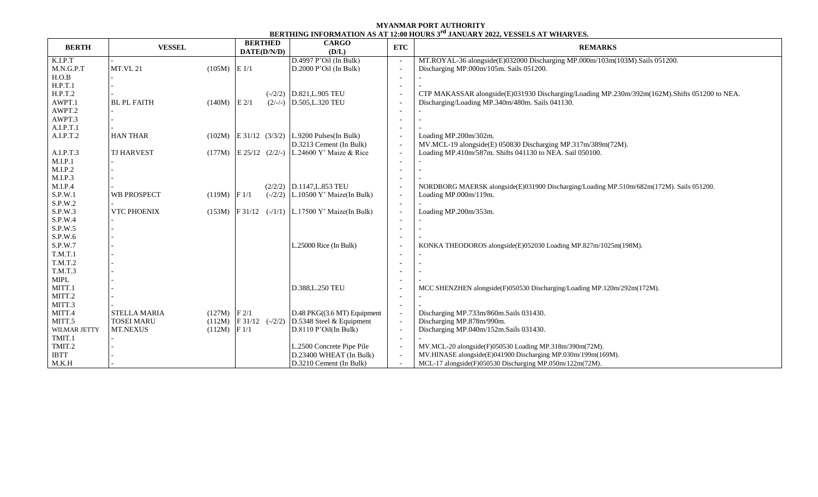## **MYANMAR PORT AUTHORITY BERTHING INFORMATION AS AT 12:00 HOURS 3 rd JANUARY 2022, VESSELS AT WHARVES.**

| <b>BERTH</b> | <b>VESSEL</b>       |                  | <b>BERTHED</b><br>DATE(D/N/D) | <b>CARGO</b><br>(D/L)                                | <b>ETC</b>               | <b>REMARKS</b>                                                                               |  |  |  |
|--------------|---------------------|------------------|-------------------------------|------------------------------------------------------|--------------------------|----------------------------------------------------------------------------------------------|--|--|--|
| K.I.P.T      |                     |                  |                               | $D.4997$ P'Oil (In Bulk)                             | $\overline{\phantom{a}}$ | MT.ROYAL-36 alongside(E)032000 Discharging MP.000m/103m(103M).Sails 051200.                  |  |  |  |
| M.N.G.P.T    | <b>MT.VL 21</b>     | $(105M)$ E 1/1   |                               | D.2000 P'Oil (In Bulk)                               | $\blacksquare$           | Discharging MP.000m/105m. Sails 051200.                                                      |  |  |  |
| H.O.B        |                     |                  |                               |                                                      | $\overline{\phantom{a}}$ |                                                                                              |  |  |  |
| H.P.T.1      |                     |                  |                               |                                                      | $\overline{\phantom{a}}$ |                                                                                              |  |  |  |
| H.P.T.2      |                     |                  |                               | $(-/2/2)$ D.821, L.905 TEU                           | $\overline{\phantom{a}}$ | CTP MAKASSAR alongside(E)031930 Discharging/Loading MP.230m/392m(162M).Shifts 051200 to NEA. |  |  |  |
| AWPT.1       | <b>BL PL FAITH</b>  | (140M)           | $E$ 2/1                       | $(2/-/-)$ D.505, L.320 TEU                           | $\overline{\phantom{a}}$ | Discharging/Loading MP.340m/480m. Sails 041130.                                              |  |  |  |
| AWPT.2       |                     |                  |                               |                                                      | $\overline{\phantom{a}}$ |                                                                                              |  |  |  |
| AWPT.3       |                     |                  |                               |                                                      | $\overline{\phantom{a}}$ |                                                                                              |  |  |  |
| A.I.P.T.1    |                     |                  |                               |                                                      | $\overline{\phantom{a}}$ |                                                                                              |  |  |  |
| A.I.P.T.2    | <b>HAN THAR</b>     | (102M)           |                               | $E$ 31/12 (3/3/2) L.9200 Pulses (In Bulk)            | $\overline{\phantom{a}}$ | Loading MP.200m/302m.                                                                        |  |  |  |
|              |                     |                  |                               | D.3213 Cement (In Bulk)                              | $\overline{\phantom{a}}$ | MV.MCL-19 alongside(E) 050830 Discharging MP.317m/389m(72M).                                 |  |  |  |
| A.I.P.T.3    | <b>TJ HARVEST</b>   |                  | $(177M)$ E 25/12 $(2/2/-)$    | L.24600 Y' Maize $&$ Rice                            | $\overline{\phantom{a}}$ | Loading MP.410m/587m. Shifts 041130 to NEA. Sail 050100.                                     |  |  |  |
| M.I.P.1      |                     |                  |                               |                                                      | $\overline{\phantom{a}}$ |                                                                                              |  |  |  |
| M.I.P.2      |                     |                  |                               |                                                      | $\overline{\phantom{a}}$ |                                                                                              |  |  |  |
| M.I.P.3      |                     |                  |                               |                                                      |                          |                                                                                              |  |  |  |
| M.I.P.4      |                     |                  |                               | $(2/2/2)$ D.1147, L.853 TEU                          | $\overline{\phantom{a}}$ | NORDBORG MAERSK alongside(E)031900 Discharging/Loading MP.510m/682m(172M). Sails 051200.     |  |  |  |
| S.P.W.1      | <b>WB PROSPECT</b>  | $(119M)$ F $1/1$ |                               | $(-2/2)$ L.10500 Y' Maize(In Bulk)                   | $\overline{\phantom{a}}$ | Loading MP.000m/119m.                                                                        |  |  |  |
| S.P.W.2      |                     |                  |                               |                                                      | $\overline{\phantom{a}}$ |                                                                                              |  |  |  |
| S.P.W.3      | <b>VTC PHOENIX</b>  |                  |                               | $(153M)$ F 31/12 $(-/1/1)$ L.17500 Y' Maize(In Bulk) | $\blacksquare$           | Loading MP.200m/353m.                                                                        |  |  |  |
| S.P.W.4      |                     |                  |                               |                                                      | $\overline{\phantom{a}}$ |                                                                                              |  |  |  |
| S.P.W.5      |                     |                  |                               |                                                      | $\overline{\phantom{a}}$ |                                                                                              |  |  |  |
| S.P.W.6      |                     |                  |                               |                                                      |                          |                                                                                              |  |  |  |
| S.P.W.7      |                     |                  |                               | L.25000 Rice (In Bulk)                               | $\overline{\phantom{a}}$ | KONKA THEODOROS alongside(E)052030 Loading MP.827m/1025m(198M).                              |  |  |  |
| T.M.T.1      |                     |                  |                               |                                                      |                          |                                                                                              |  |  |  |
| T.M.T.2      |                     |                  |                               |                                                      |                          |                                                                                              |  |  |  |
| T.M.T.3      |                     |                  |                               |                                                      |                          |                                                                                              |  |  |  |
| <b>MIPL</b>  |                     |                  |                               |                                                      |                          |                                                                                              |  |  |  |
| MITT.1       |                     |                  |                               | D.388, L.250 TEU                                     | $\overline{\phantom{a}}$ | MCC SHENZHEN alongside(F)050530 Discharging/Loading MP.120m/292m(172M).                      |  |  |  |
| MITT.2       |                     |                  |                               |                                                      | $\overline{\phantom{a}}$ |                                                                                              |  |  |  |
| MITT.3       |                     |                  |                               |                                                      | $\overline{\phantom{a}}$ |                                                                                              |  |  |  |
| MITT.4       | <b>STELLA MARIA</b> | $(127M)$ F 2/1   |                               | $D.48$ PKG $((3.6$ MT $)$ Equipment                  | $\mathcal{L}$            | Discharging MP.733m/860m.Sails 031430.                                                       |  |  |  |
| MITT.5       | <b>TOSEI MARU</b>   | (112M)           | F31/12                        | $(-/2/2)$ D.5348 Steel & Equipment                   | $\blacksquare$           | Discharging MP.878m/990m.                                                                    |  |  |  |
| WILMAR JETTY | <b>MT.NEXUS</b>     | $(112M)$ F 1/1   |                               | D.8110 P' Oil(In Bulk)                               | $\overline{\phantom{a}}$ | Discharging MP.040m/152m.Sails 031430.                                                       |  |  |  |
| TMIT.1       |                     |                  |                               |                                                      | $\overline{\phantom{a}}$ |                                                                                              |  |  |  |
| TMIT.2       |                     |                  |                               | L.2500 Concrete Pipe Pile                            | $\overline{\phantom{a}}$ | MV.MCL-20 alongside(F)050530 Loading MP.318m/390m(72M).                                      |  |  |  |
| <b>IBTT</b>  |                     |                  |                               | D.23400 WHEAT (In Bulk)                              | $\sim$                   | MV.HINASE alongside(E)041900 Discharging MP.030m/199m(169M).                                 |  |  |  |
| M.K.H        |                     |                  |                               | D.3210 Cement (In Bulk)                              | $\overline{\phantom{a}}$ | MCL-17 alongside(F)050530 Discharging MP.050m/122m(72M).                                     |  |  |  |